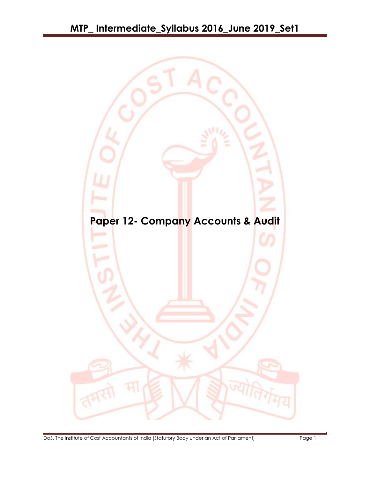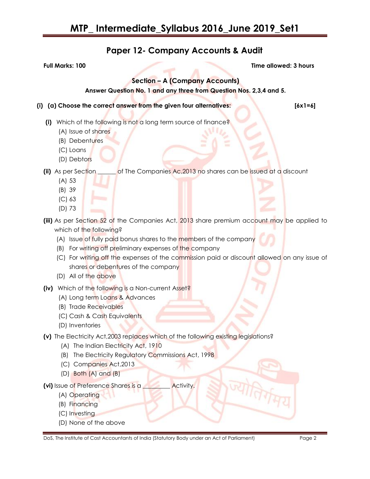## **Paper 12- Company Accounts & Audit**

**Full Marks: 100 Time allowed: 3 hours**

### **Section – A (Company Accounts)**

**Answer Question No. 1 and any three from Question Nos. 2,3,4 and 5.**

#### **(i) (a) Choose the correct answer from the given four alternatives: [6x1=6]**

- **(i)** Which of the following is not a long term source of finance?
	- (A) Issue of shares
	- (B) Debentures
	- (C) Loans
	- (D) Debtors

**(ii)** As per Section \_\_\_\_\_\_ of The Companies Ac,2013 no shares can be issued at a discount

- (A) 53
- (B) 39
- (C) 63
- (D) 73
- **(iii)** As per Section 52 of the Companies Act, 2013 share premium account may be applied to which of the following?
	- (A) Issue of fully paid bonus shares to the members of the company
	- (B) For writing off preliminary expenses of the company
	- (C) For writing off the expenses of the commission paid or discount allowed on any issue of shares or debentures of the company
	- (D) All of the above
- **(iv)** Which of the following is a Non-current Asset?
	- (A) Long term Loans & Advances
	- (B) Trade Receivables
	- (C) Cash & Cash Equivalents
	- (D) Inventories
- **(v)** The Electricity Act,2003 replaces which of the following existing legislations?
	- (A) The Indian Electricity Act, 1910
	- (B) The Electricity Regulatory Commissions Act, 1998
	- (C) Companies Act,2013
	- (D) Both (A) and (B)

#### **(vi)** Issue of Preference Shares is a \_\_\_\_\_\_\_\_\_ Activity.

- (A) Operating
- (B) Financing
- (C) Investing
- (D) None of the above

DoS, The Institute of Cost Accountants of India (Statutory Body under an Act of Parliament) Page 2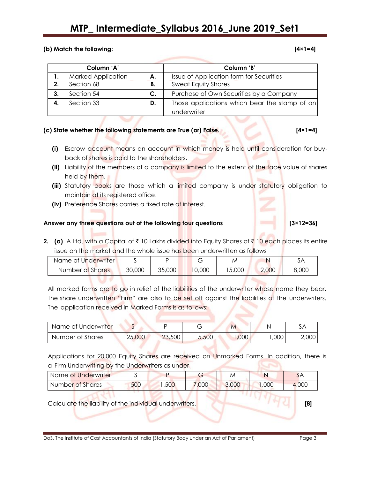## **MTP\_ Intermediate\_Syllabus 2016\_June 2019\_Set1**

#### **(b) Match the following: [4×1=4]**

|    | Column 'A'                |    | Column 'B'                                    |
|----|---------------------------|----|-----------------------------------------------|
|    | <b>Marked Application</b> | А. | Issue of Application form for Securities      |
| 2. | Section 68                | В. | <b>Sweat Equity Shares</b>                    |
| 3. | Section 54                | C. | Purchase of Own Securities by a Company       |
| 4. | Section 33                | D. | Those applications which bear the stamp of an |
|    |                           |    | underwriter                                   |

#### **(c) State whether the following statements are True (or) False. [4×1=4]**

- **(i)** Escrow account means an account in which money is held until consideration for buyback of shares is paid to the shareholders.
- **(ii)** Liability of the members of a company is limited to the extent of the face value of shares held by them.
- (iii) Statutory books are those which a limited company is under statutory obligation to maintain at its registered office.
- **(iv)** Preference Shares carries a fixed rate of interest.

### Answer any three questions out of the following four questions [3×12=36]

**2.** (a) A Ltd. with a Capital of  $\bar{\tau}$  10 Lakhs divided into Equity Shares of  $\bar{\tau}$  10 each places its entire issue on the market and the whole issue has been underwritten as follows

| Name of Underwriter |        |        | ⌒      | M     |       | SА    |
|---------------------|--------|--------|--------|-------|-------|-------|
| Number of Shares    | 30,000 | 35,000 | 10,000 | 5,000 | 2,000 | 8,000 |

All marked forms are to go in relief of the liabilities of the underwriter whose name they bear. The share underwritten "Firm" are also to be set off against the liabilities of the underwriters. The application received in Marked Forms is as follows:

| Name of Underwriter |        |        |       | M                 |      | مر    |
|---------------------|--------|--------|-------|-------------------|------|-------|
| Number of Shares    | 25,000 | 23,500 | 5,500 | .000 <sub>1</sub> | ,000 | 2,000 |

Applications for 20,000 Equity Shares are received on Unmarked Forms. In addition, there is a Firm Underwriting by the Underwriters as under

| Name of Underwriter |     |      |       | M     |      | 5P    |
|---------------------|-----|------|-------|-------|------|-------|
| Number of Shares    | 500 | ,500 | 7,000 | 3,000 | ,000 | 4,000 |

Calculate the liability of the individual underwriters. **[8]**

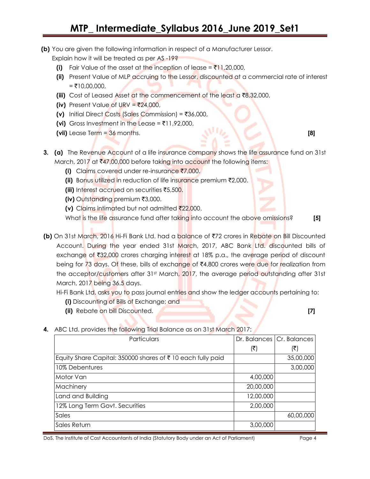**(b)** You are given the following information in respect of a Manufacturer Lessor.

Explain how it will be treated as per AS -19?

- **(i)** Fair Value of the asset at the inception of lease =  $\bar{x}$ 11,20,000,
- **(ii)** Present Value of MLP accruing to the Lessor, discounted at a commercial rate of interest  $=$  ₹10,00,000,
- **(iii)** Cost of Leased Asset at the commencement of the least a  $\bar{\tau}8,32,000$ ,
- **(iv)** Present Value of URV =  $\overline{524,000}$ ,
- **(v)** Initial Direct Costs (Sales Commission) =  $\overline{\tau}$ 36,000,
- **(vi)** Gross Investment in the Lease =  $\bar{\tau}$ 11,92,000,
- **(vii)** Lease Term = 36 months. **[8]**
- **3.** (a) The Revenue Account of a life insurance company shows the life assurance fund on 31st March, 2017 at ₹47,00,000 before taking into account the following items:
	- **(i)** Claims covered under re-insurance ₹7,000.
	- **(ii)** Bonus utilized in reduction of life insurance premium ₹2,000.
	- **(iii)** Interest accrued on securities ₹5,500.
	- **(iv)** Outstanding premium ₹3,000.
	- **(v)** Claims intimated but not admitted  $\bar{\mathbf{z}}$ 22,000.

What is the life assurance fund after taking into account the above omissions? **[5]**

**(b)** On 31st March, 2016 Hi-Fi Bank Ltd. had a balance of ₹72 crores in Rebate on Bill Discounted Account. During the year ended 31st March, 2017, ABC Bank Ltd. discounted bills of exchange of  $\text{\textdegree{3}}32,000$  crores charging interest at 18% p.a., the average period of discount being for 73 days. Of these, bills of exchange of  $\bar{x}4,800$  crores were due for realization from the acceptor/customers after 31st March, 2017, the average period outstanding after 31st March, 2017 being 36.5 days.

Hi-Fi Bank Ltd. asks you to pass journal entries and show the ledger accounts pertaining to:

- **(i)** Discounting of Bills of Exchange; and
- **(ii)** Rebate on bill Discounted. **[7]**

**4.** ABC Ltd. provides the following Trial Balance as on 31st March 2017:

| Particulars                                                |           | Dr. Balances   Cr. Balances |
|------------------------------------------------------------|-----------|-----------------------------|
|                                                            | (₹)       | (₹)                         |
| Equity Share Capital: 350000 shares of ₹10 each fully paid |           | 35,00,000                   |
| 10% Debentures                                             |           | 3,00,000                    |
| Motor Van                                                  | 4,00,000  |                             |
| Machinery                                                  | 20,00,000 |                             |
| Land and Building                                          | 12,00,000 |                             |
| 12% Long Term Govt. Securities                             | 2,00,000  |                             |
| Sales                                                      |           | 60,00,000                   |
| Sales Return                                               | 3,00,000  |                             |

DoS, The Institute of Cost Accountants of India (Statutory Body under an Act of Parliament) Page 4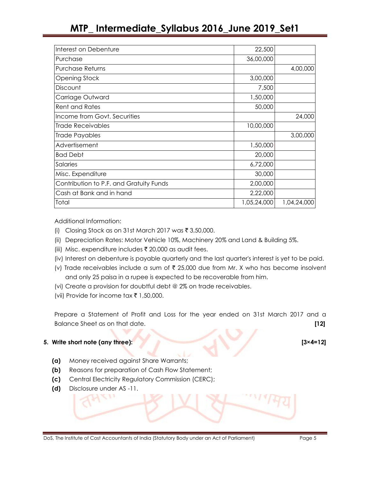## **MTP\_ Intermediate\_Syllabus 2016\_June 2019\_Set1**

| Interest on Debenture                   | 22,500      |             |
|-----------------------------------------|-------------|-------------|
| Purchase                                | 36,00,000   |             |
| Purchase Returns                        |             | 4,00,000    |
| <b>Opening Stock</b>                    | 3,00,000    |             |
| Discount                                | 7,500       |             |
| Carriage Outward                        | 1,50,000    |             |
| <b>Rent and Rates</b>                   | 50,000      |             |
| Income from Govt. Securities            |             | 24,000      |
| Trade Receivables                       | 10,00,000   |             |
| Trade Payables                          |             | 3,00,000    |
| Advertisement                           | 1,50,000    |             |
| <b>Bad Debt</b>                         | 20,000      |             |
| Salaries                                | 6,72,000    |             |
| Misc. Expenditure                       | 30,000      |             |
| Contribution to P.F. and Gratuity Funds | 2,00,000    |             |
| Cash at Bank and in hand                | 2,22,000    |             |
| Total                                   | 1,05,24,000 | 1,04,24,000 |

Additional Information:

- (i) Closing Stock as on 31st March 2017 was  $\bar{\tau}$  3,50,000.
- (ii) Depreciation Rates: Motor Vehicle 10%, Machinery 20% and Land & Building 5%.
- (iii) Misc. expenditure includes  $\bar{\tau}$  20,000 as audit fees.
- (iv) Interest on debenture is payable quarterly and the last quarter's interest is yet to be paid.
- (v) Trade receivables include a sum of  $\bar{\tau}$  25,000 due from Mr. X who has become insolvent and only 25 paisa in a rupee is expected to be recoverable from him.
- (vi) Create a provision for doubtful debt @ 2% on trade receivables.
- (vii) Provide for income tax  $\bar{\tau}$  1,50,000.

Prepare a Statement of Profit and Loss for the year ended on 31st March 2017 and a Balance Sheet as on that date. **[12]**

#### **5. Write short note (any three): [3×4=12]**

- **(a)** Money received against Share Warrants;
- **(b)** Reasons for preparation of Cash Flow Statement;
- **(c)** Central Electricity Regulatory Commission (CERC);
- **(d)** Disclosure under AS -11.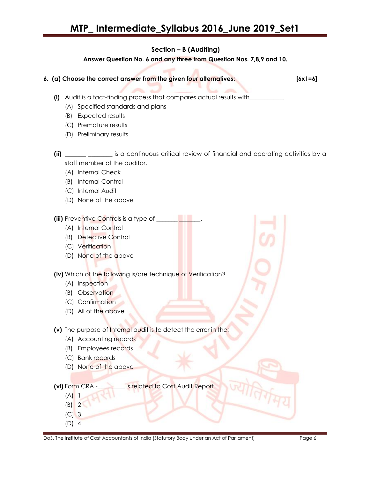### **Section – B (Auditing)**

#### **Answer Question No. 6 and any three from Question Nos. 7,8,9 and 10.**

**6. (a) Choose the correct answer from the given four alternatives: [6x1=6]**

- **(i)** Audit is a fact-finding process that compares actual results with\_\_\_\_\_\_\_\_\_\_\_.
	- (A) Specified standards and plans
	- (B) Expected results
	- (C) Premature results
	- (D) Preliminary results
- **(ii)** \_\_\_\_\_\_\_ \_\_\_\_\_\_\_\_ is a continuous critical review of financial and operating activities by a staff member of the auditor.
	- (A) Internal Check
	- (B) Internal Control
	- (C) Internal Audit
	- (D) None of the above
- **(iii)** Preventive Controls is a type of \_\_\_\_\_\_
	- (A) Internal Control
	- (B) Detective Control
	- (C) Verification
	- (D) None of the above

**(iv)** Which of the following is/are technique of Verification?

- (A) Inspection
- (B) Observation
- (C) Confirmation
- (D) All of the above
- **(v)** The purpose of Internal audit is to detect the error in the;
	- (A) Accounting records
	- (B) Employees records
	- (C) Bank records
	- (D) None of the above

**(vi)** Form CRA -\_\_\_\_\_\_\_\_\_ is related to Cost Audit Report.

- $(A)$  1
- (B) 2 (C) 3
- (D) 4